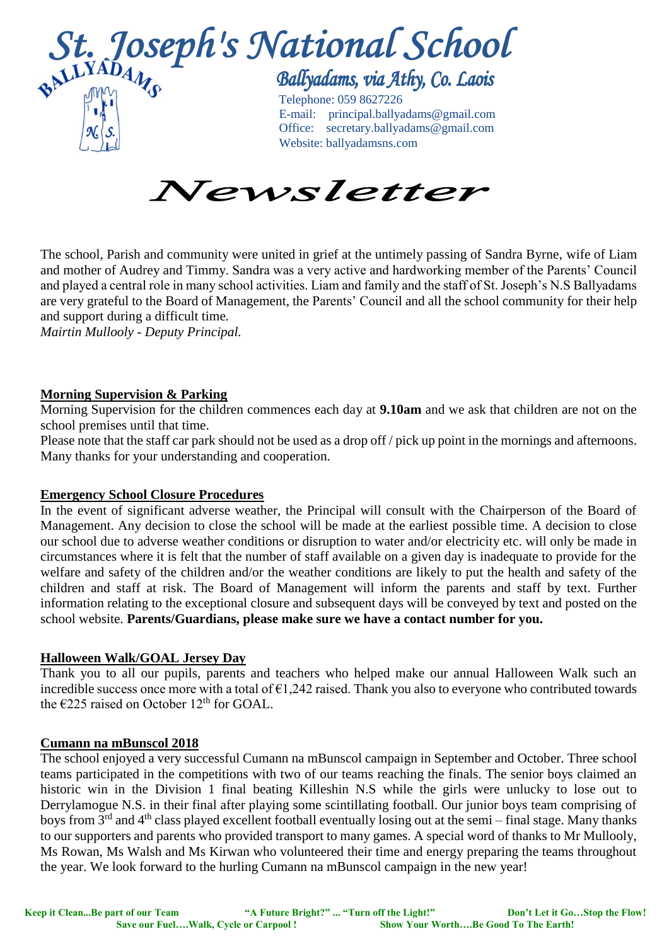



The school, Parish and community were united in grief at the untimely passing of Sandra Byrne, wife of Liam and mother of Audrey and Timmy. Sandra was a very active and hardworking member of the Parents' Council and played a central role in many school activities. Liam and family and the staff of St. Joseph's N.S Ballyadams are very grateful to the Board of Management, the Parents' Council and all the school community for their help and support during a difficult time*.* 

*Mairtin Mullooly - Deputy Principal.*

# **Morning Supervision & Parking**

Morning Supervision for the children commences each day at **9.10am** and we ask that children are not on the school premises until that time.

Please note that the staff car park should not be used as a drop off / pick up point in the mornings and afternoons. Many thanks for your understanding and cooperation.

## **Emergency School Closure Procedures**

In the event of significant adverse weather, the Principal will consult with the Chairperson of the Board of Management. Any decision to close the school will be made at the earliest possible time. A decision to close our school due to adverse weather conditions or disruption to water and/or electricity etc. will only be made in circumstances where it is felt that the number of staff available on a given day is inadequate to provide for the welfare and safety of the children and/or the weather conditions are likely to put the health and safety of the children and staff at risk. The Board of Management will inform the parents and staff by text. Further information relating to the exceptional closure and subsequent days will be conveyed by text and posted on the school website. **Parents/Guardians, please make sure we have a contact number for you.**

## **Halloween Walk/GOAL Jersey Day**

Thank you to all our pupils, parents and teachers who helped make our annual Halloween Walk such an incredible success once more with a total of  $\epsilon$ 1,242 raised. Thank you also to everyone who contributed towards the  $\epsilon$ 225 raised on October 12<sup>th</sup> for GOAL.

## **Cumann na mBunscol 2018**

The school enjoyed a very successful Cumann na mBunscol campaign in September and October. Three school teams participated in the competitions with two of our teams reaching the finals. The senior boys claimed an historic win in the Division 1 final beating Killeshin N.S while the girls were unlucky to lose out to Derrylamogue N.S. in their final after playing some scintillating football. Our junior boys team comprising of boys from 3rd and 4th class played excellent football eventually losing out at the semi – final stage. Many thanks to our supporters and parents who provided transport to many games. A special word of thanks to Mr Mullooly, Ms Rowan, Ms Walsh and Ms Kirwan who volunteered their time and energy preparing the teams throughout the year. We look forward to the hurling Cumann na mBunscol campaign in the new year!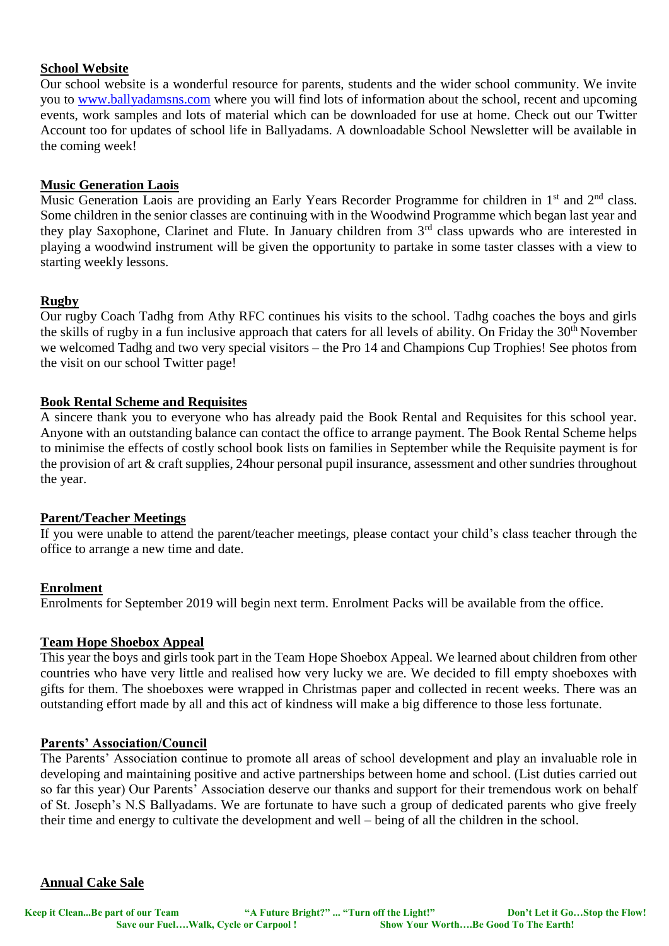## **School Website**

Our school website is a wonderful resource for parents, students and the wider school community. We invite you to [www.ballyadamsns.com](http://www.ballyadamsns.com/) where you will find lots of information about the school, recent and upcoming events, work samples and lots of material which can be downloaded for use at home. Check out our Twitter Account too for updates of school life in Ballyadams. A downloadable School Newsletter will be available in the coming week!

## **Music Generation Laois**

Music Generation Laois are providing an Early Years Recorder Programme for children in 1<sup>st</sup> and 2<sup>nd</sup> class. Some children in the senior classes are continuing with in the Woodwind Programme which began last year and they play Saxophone, Clarinet and Flute. In January children from 3<sup>rd</sup> class upwards who are interested in playing a woodwind instrument will be given the opportunity to partake in some taster classes with a view to starting weekly lessons.

### **Rugby**

Our rugby Coach Tadhg from Athy RFC continues his visits to the school. Tadhg coaches the boys and girls the skills of rugby in a fun inclusive approach that caters for all levels of ability. On Friday the 30<sup>th</sup> November we welcomed Tadhg and two very special visitors – the Pro 14 and Champions Cup Trophies! See photos from the visit on our school Twitter page!

### **Book Rental Scheme and Requisites**

A sincere thank you to everyone who has already paid the Book Rental and Requisites for this school year. Anyone with an outstanding balance can contact the office to arrange payment. The Book Rental Scheme helps to minimise the effects of costly school book lists on families in September while the Requisite payment is for the provision of art & craft supplies, 24hour personal pupil insurance, assessment and other sundries throughout the year.

## **Parent/Teacher Meetings**

If you were unable to attend the parent/teacher meetings, please contact your child's class teacher through the office to arrange a new time and date.

#### **Enrolment**

Enrolments for September 2019 will begin next term. Enrolment Packs will be available from the office.

#### **Team Hope Shoebox Appeal**

This year the boys and girls took part in the Team Hope Shoebox Appeal. We learned about children from other countries who have very little and realised how very lucky we are. We decided to fill empty shoeboxes with gifts for them. The shoeboxes were wrapped in Christmas paper and collected in recent weeks. There was an outstanding effort made by all and this act of kindness will make a big difference to those less fortunate.

#### **Parents' Association/Council**

The Parents' Association continue to promote all areas of school development and play an invaluable role in developing and maintaining positive and active partnerships between home and school. (List duties carried out so far this year) Our Parents' Association deserve our thanks and support for their tremendous work on behalf of St. Joseph's N.S Ballyadams. We are fortunate to have such a group of dedicated parents who give freely their time and energy to cultivate the development and well – being of all the children in the school.

#### **Annual Cake Sale**